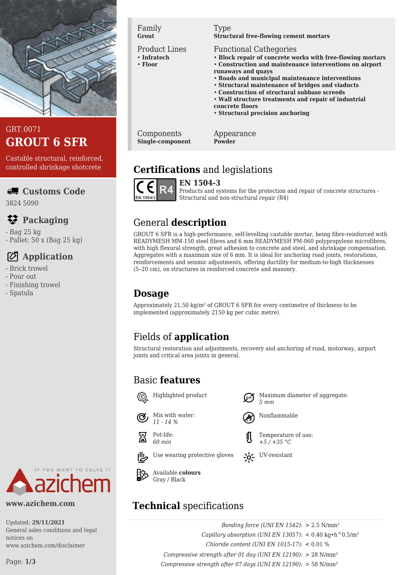

#### GRT.0071 **GROUT 6 SFR**

Castable structural, reinforced, controlled shrinkage shotcrete

#### **Customs Code**

3824 5090

## **Packaging**

- Bag 25 kg
- Pallet: 50 x (Bag 25 kg)

# **Application**

- Brick trowel
- Pour out
- Finishing trowel
- Spatula



#### Product Lines

- **Infratech**
- **Floor**

#### Type

**Structural free-flowing cement mortars**

#### Functional Cathegories

- **Block repair of concrete works with free-flowing mortars**
- **Construction and maintenance interventions on airport**
- **runaways and quays**
- **Roads and municipal maintenance interventions**
- **Structural maintenance of bridges and viaducts**
- **Construction of structural subbase screeds**
- **Wall structure treatments and repair of industrial**
- **concrete floors**
- **Structural precision anchoring**

Components **Single-component** Appearance **Powder**

## **Certifications** and legislations



**EN 1504-3**

Products and systems for the protection and repair of concrete structures - Structural and non-structural repair (R4)

# General **description**

GROUT 6 SFR is a high-performance, self-levelling castable mortar, being fibre-reinforced with READYMESH MM-150 steel fibres and 6 mm READYMESH PM-060 polypropylene microfibres, with high flexural strength, great adhesion to concrete and steel, and shrinkage compensation. Aggregates with a maximum size of 6 mm. It is ideal for anchoring road joints, restorations, reinforcements and seismic adjustments, offering ductility for medium-to-high thicknesses (5–20 cm), on structures in reinforced concrete and masonry.

# **Dosage**

Approximately 21,50 kg/m² of GROUT 6 SFR for every centimetre of thickness to be implemented (approximately 2150 kg per cubic metre).

# Fields of **application**

Structural restoration and adjustments, recovery and anchoring of road, motorway, airport joints and critical area joints in general.

*5 mm*

Nonflammable

Temperature of use: *+5 / +35 °C*

# Basic **features**



Mix with water: *11 - 14 %*

*60 min*

Pot-life:



Available **colours**

# **Technical** specifications

*Bonding force (UNI EN 1542)*: > 2.5 N/mm² *Capillary absorption (UNI EN 13057)*:  $< 0.40 \text{ kg} \cdot \text{h}^0.5/\text{m}^2$ *Chloride content (UNI EN 1015-17)*: < 0.01 % *Compressive strength after 01 day (UNI EN 12190)*: > 28 N/mm² *Compressive strength after 07 days (UNI EN 12190)*: > 58 N/mm²

Page: **1/3**

YOU WANT TO SOLVE IT

**www.azichem.com**

Updated: **29/11/2021** General sales conditions and legal notices on www.azichem.com/disclaimer









Gray / Black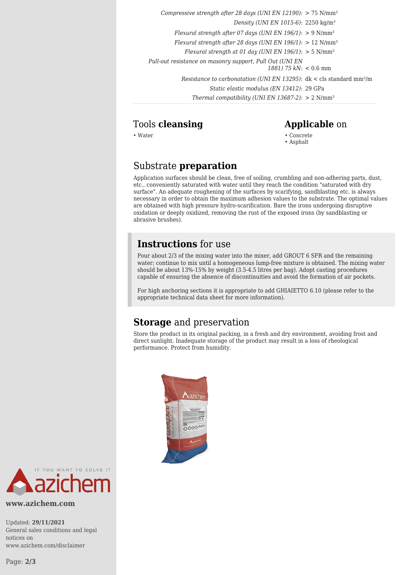*Compressive strength after 28 days (UNI EN 12190)*: > 75 N/mm² *Density (UNI EN 1015-6)*: 2250 kg/m³ *Flexural strength after 07 days (UNI EN 196/1)*: > 9 N/mm² *Flexural strength after 28 days (UNI EN 196/1)*: > 12 N/mm² *Flexural strength at 01 day (UNI EN 196/1)*: > 5 N/mm² *Pull-out resistance on masonry support, Pull Out (UNI EN 1881) 75 kN*: < 0.6 mm *Resistance to carbonatation (UNI EN 13295)*: dk < cls standard mm²/m *Static elastic modulus (EN 13412)*: 29 GPa *Thermal compatibility (UNI EN 13687-2)*: > 2 N/mm²

#### Tools **cleansing Applicable** on

- 
- Water Concrete • Asphalt

## Substrate **preparation**

Application surfaces should be clean, free of soiling, crumbling and non-adhering parts, dust, etc., conveniently saturated with water until they reach the condition "saturated with dry surface". An adequate roughening of the surfaces by scarifying, sandblasting etc. is always necessary in order to obtain the maximum adhesion values to the substrate. The optimal values are obtained with high pressure hydro-scarification. Bare the irons undergoing disruptive oxidation or deeply oxidized, removing the rust of the exposed irons (by sandblasting or abrasive brushes).

#### **Instructions** for use

Pour about 2/3 of the mixing water into the mixer, add GROUT 6 SFR and the remaining water; continue to mix until a homogeneous lump-free mixture is obtained. The mixing water should be about 13%-15% by weight (3.5-4.5 litres per bag). Adopt casting procedures capable of ensuring the absence of discontinuities and avoid the formation of air pockets.

For high anchoring sections it is appropriate to add GHIAIETTO 6.10 (please refer to the appropriate technical data sheet for more information).

# **Storage** and preservation

Store the product in its original packing, in a fresh and dry environment, avoiding frost and direct sunlight. Inadequate storage of the product may result in a loss of rheological performance. Protect from humidity.





**www.azichem.com**

Updated: **29/11/2021** General sales conditions and legal notices on www.azichem.com/disclaimer